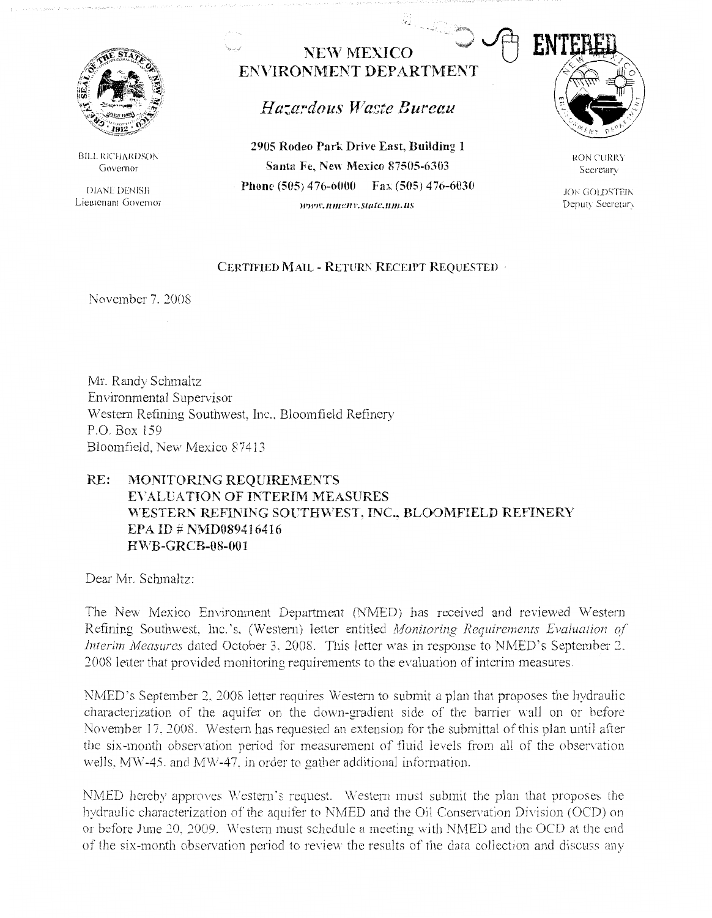

BILL RICHARDSON Governor

DIANE DENISH Lieutenant Governor

**NEW MEXICO ENVIRONMENT DEPARTMENT** 

*Hazardous Waste Bureau* 

**2905 Rodeo Park Drive East, Building 1 Santa Fe. New Mexico 87505-6303 Phone (505) 476-6000** Fax (505) 476-6030 **ll'Wll'.lllllC/l)'.Statc.nm.us** 



RON CURRY Secretar:-

**JON GOLDSTEIN** Deputy Secretary

## **CERTIFIED MAIL - RETURN RECEIPT REQUESTED**

November 7. 2008

Mr. Randy Schmaltz Environmental Supervisor Western Refining Southwest, Inc., Bloomfield Refinery P.O. Box 159 Bloomfield. New Mexico 87413

## **RE: MONITORING REQUIREMENTS EYALLATIOI\: OF INTERIM MEASURES**  WESTERN REFINING SOUTHWEST, INC., BLOOMFIELD REFINERY **EPA ID# NMD089416416 H\YB-GR CB-08-001**

Dear Mr. Schmaltz:

The New Mexico Environment Department *(NMED)* has received and reviewed Western Refining Southwest, Inc.'s. (Western) letter entitled *Monitoring Requirements Evaluation of Interim Measures* dated October 3, 2008. This letter was in response to NMED's September 2. .?.008 letter that provided monitoring requirements to the evaluation of interim measures.

NMED's September 2, 2008 letter requires Western to submit a plan that proposes the hydraulic characterization of the aquifer on the down-gradient side of the barrier wall on or before November 17. 2008. Western has requested an extension for the submittal of this plan until after the six-month observation period for measurement of fluid levels from all of the observation wells. MW-45. and MW-47. in order to gather additional information.

NMED hereby approves Western's request. Western must submit the plan that proposes the hydraulic characterization of the aquifer to NMED and the Oil Conservation Division (OCD) on or before June 20, 2009. Western must schedule a meeting with NMED and the OCD at the end of the six-month observation period to review the results of the data collection and discuss any